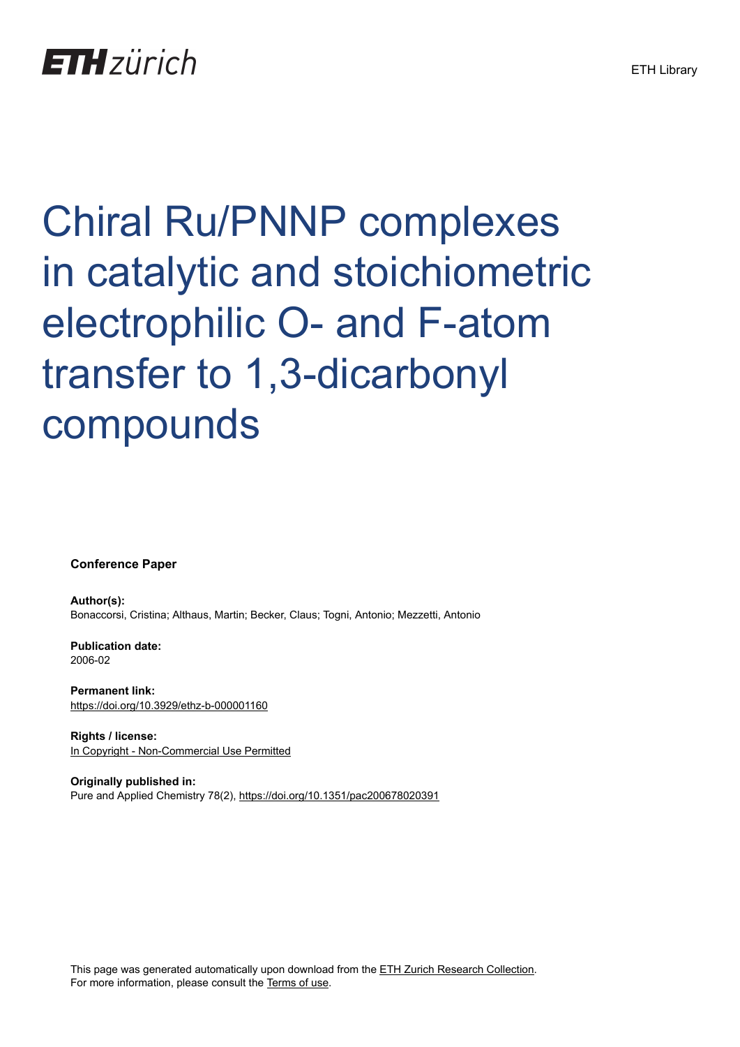## **ETH** zürich

# Chiral Ru/PNNP complexes in catalytic and stoichiometric electrophilic O- and F-atom transfer to 1,3-dicarbonyl compounds

**Conference Paper**

**Author(s):** Bonaccorsi, Cristina; Althaus, Martin; Becker, Claus; Togni, Antonio; Mezzetti, Antonio

**Publication date:** 2006-02

**Permanent link:** <https://doi.org/10.3929/ethz-b-000001160>

**Rights / license:** [In Copyright - Non-Commercial Use Permitted](http://rightsstatements.org/page/InC-NC/1.0/)

**Originally published in:** Pure and Applied Chemistry 78(2),<https://doi.org/10.1351/pac200678020391>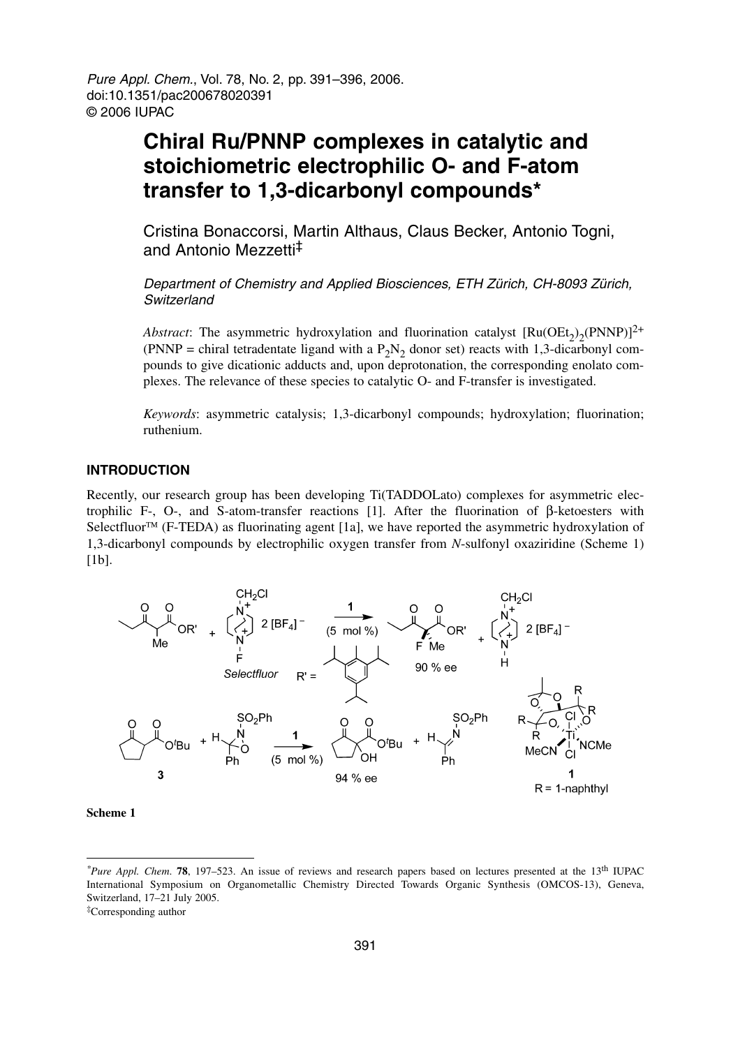Pure Appl. Chem., Vol. 78, No. 2, pp. 391–396, 2006. doi:10.1351/pac200678020391 © 2006 IUPAC

### **Chiral Ru/PNNP complexes in catalytic and stoichiometric electrophilic O- and F-atom transfer to 1,3-dicarbonyl compounds\***

Cristina Bonaccorsi, Martin Althaus, Claus Becker, Antonio Togni, and Antonio Mezzetti‡

Department of Chemistry and Applied Biosciences, ETH Zürich, CH-8093 Zürich, Switzerland

*Abstract*: The asymmetric hydroxylation and fluorination catalyst  $[Ru(OEt_2)_2(PNNP)]^{2+}$ (PNNP = chiral tetradentate ligand with a  $P_2N_2$  donor set) reacts with 1,3-dicarbonyl compounds to give dicationic adducts and, upon deprotonation, the corresponding enolato complexes. The relevance of these species to catalytic O- and F-transfer is investigated.

*Keywords*: asymmetric catalysis; 1,3-dicarbonyl compounds; hydroxylation; fluorination; ruthenium.

#### **INTRODUCTION**

Recently, our research group has been developing Ti(TADDOLato) complexes for asymmetric electrophilic F-, O-, and S-atom-transfer reactions [1]. After the fluorination of β-ketoesters with Selectfluor<sup>TM</sup> (F-TEDA) as fluorinating agent [1a], we have reported the asymmetric hydroxylation of 1,3-dicarbonyl compounds by electrophilic oxygen transfer from *N*-sulfonyl oxaziridine (Scheme 1) [1b].



**Scheme 1**

*<sup>\*</sup>Pure Appl. Chem*. **78**, 197–523. An issue of reviews and research papers based on lectures presented at the 13th IUPAC International Symposium on Organometallic Chemistry Directed Towards Organic Synthesis (OMCOS-13), Geneva, Switzerland, 17–21 July 2005.

<sup>‡</sup>Corresponding author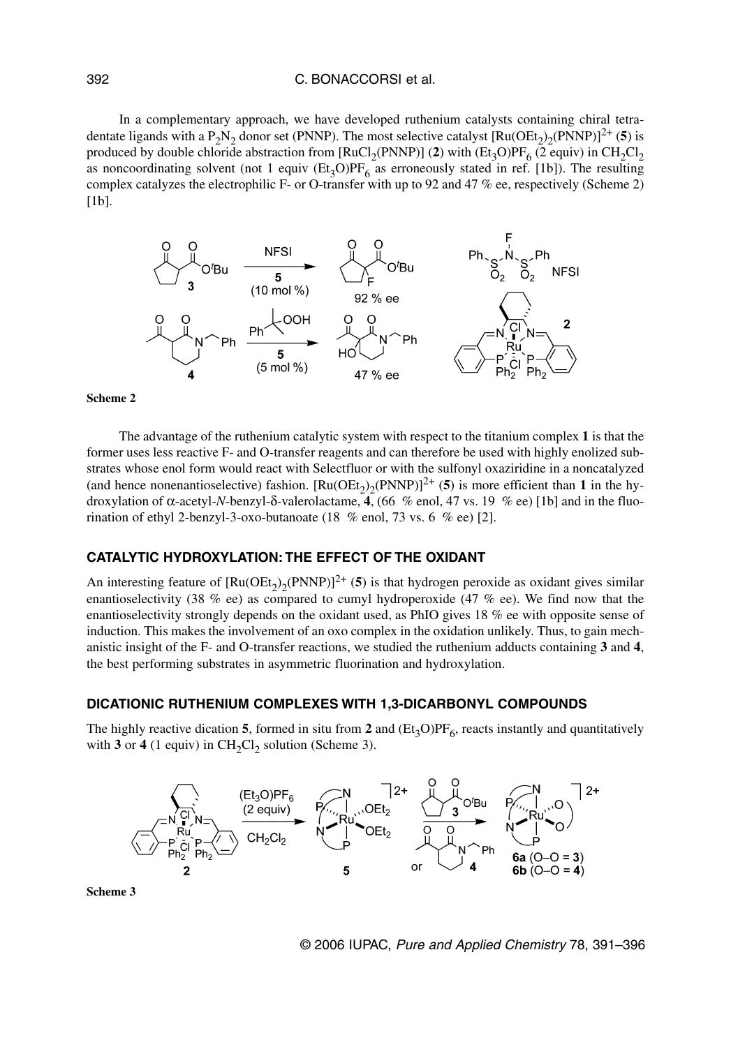#### C. BONACCORSI et al.

In a complementary approach, we have developed ruthenium catalysts containing chiral tetradentate ligands with a P<sub>2</sub>N<sub>2</sub> donor set (PNNP). The most selective catalyst  $\text{[Ru(OEt_2)_2(PNNP)]}^{2+}$  (5) is produced by double chloride abstraction from [RuCl<sub>2</sub>(PNNP)] (2) with (Et<sub>3</sub>O)PF<sub>6</sub> (2 equiv) in CH<sub>2</sub>Cl<sub>2</sub> as noncoordinating solvent (not 1 equiv  $(Et_3O)PF_6$  as erroneously stated in ref. [1b]). The resulting complex catalyzes the electrophilic F- or O-transfer with up to 92 and 47 % ee, respectively (Scheme 2)  $[1b]$ .



#### **Scheme 2**

The advantage of the ruthenium catalytic system with respect to the titanium complex **1** is that the former uses less reactive F- and O-transfer reagents and can therefore be used with highly enolized substrates whose enol form would react with Selectfluor or with the sulfonyl oxaziridine in a noncatalyzed (and hence nonenantioselective) fashion.  $[Ru(OEt_2)_{2}(PNNP)]^{2+}$  (5) is more efficient than 1 in the hydroxylation of α-acetyl-*N*-benzyl-δ-valerolactame, **4**, (66 % enol, 47 vs. 19 % ee) [1b] and in the fluorination of ethyl 2-benzyl-3-oxo-butanoate (18 % enol, 73 vs. 6 % ee) [2].

#### **CATALYTIC HYDROXYLATION: THE EFFECT OF THE OXIDANT**

An interesting feature of  $\text{Ru(OEt)}_{2}(\text{PNNP})^{2+}$  (5) is that hydrogen peroxide as oxidant gives similar enantioselectivity (38 % ee) as compared to cumyl hydroperoxide (47 % ee). We find now that the enantioselectivity strongly depends on the oxidant used, as PhIO gives 18 % ee with opposite sense of induction. This makes the involvement of an oxo complex in the oxidation unlikely. Thus, to gain mechanistic insight of the F- and O-transfer reactions, we studied the ruthenium adducts containing **3** and **4**, the best performing substrates in asymmetric fluorination and hydroxylation.

#### **DICATIONIC RUTHENIUM COMPLEXES WITH 1,3-DICARBONYL COMPOUNDS**

The highly reactive dication **5**, formed in situ from 2 and  $(Et<sub>3</sub>O)PF<sub>6</sub>$ , reacts instantly and quantitatively with  $3$  or  $4$  (1 equiv) in CH<sub>2</sub>Cl<sub>2</sub> solution (Scheme 3).



**Scheme 3**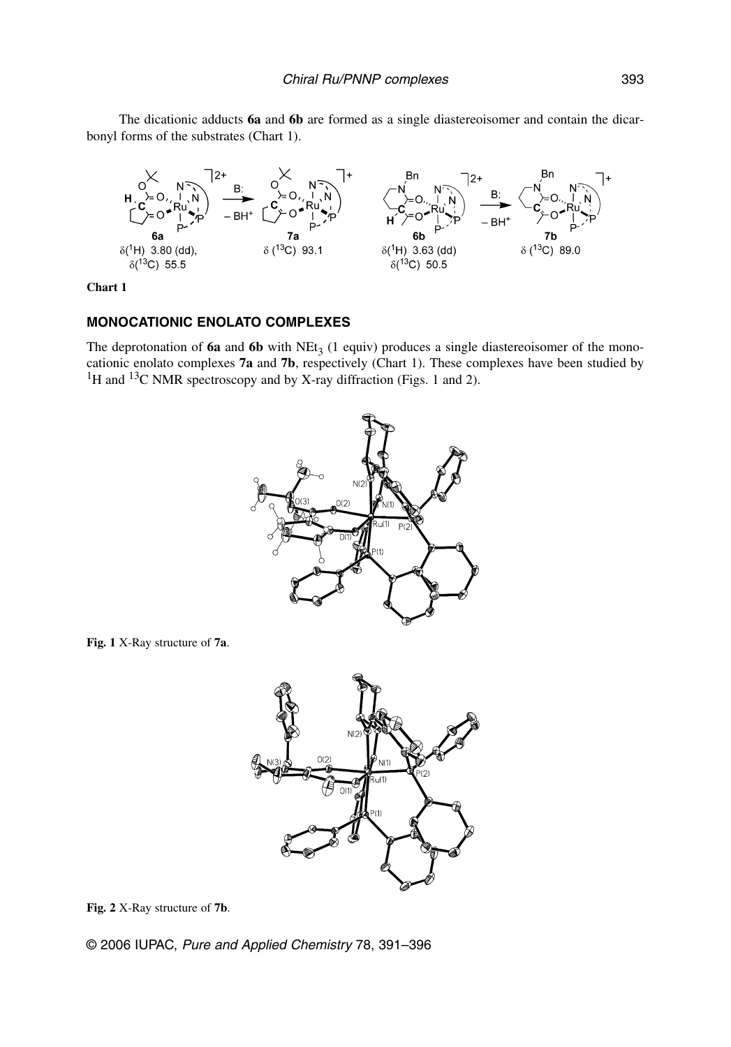The dicationic adducts **6a** and **6b** are formed as a single diastereoisomer and contain the dicarbonyl forms of the substrates (Chart 1).



**Chart 1**

#### **MONOCATIONIC ENOLATO COMPLEXES**

The deprotonation of  $6a$  and  $6b$  with NEt<sub>3</sub> (1 equiv) produces a single diastereoisomer of the monocationic enolato complexes **7a** and **7b**, respectively (Chart 1). These complexes have been studied by <sup>1</sup>H and <sup>13</sup>C NMR spectroscopy and by X-ray diffraction (Figs. 1 and 2).



**Fig. 1** X-Ray structure of **7a**.



**Fig. 2** X-Ray structure of **7b**.

© 2006 IUPAC, Pure and Applied Chemistry 78, 391–396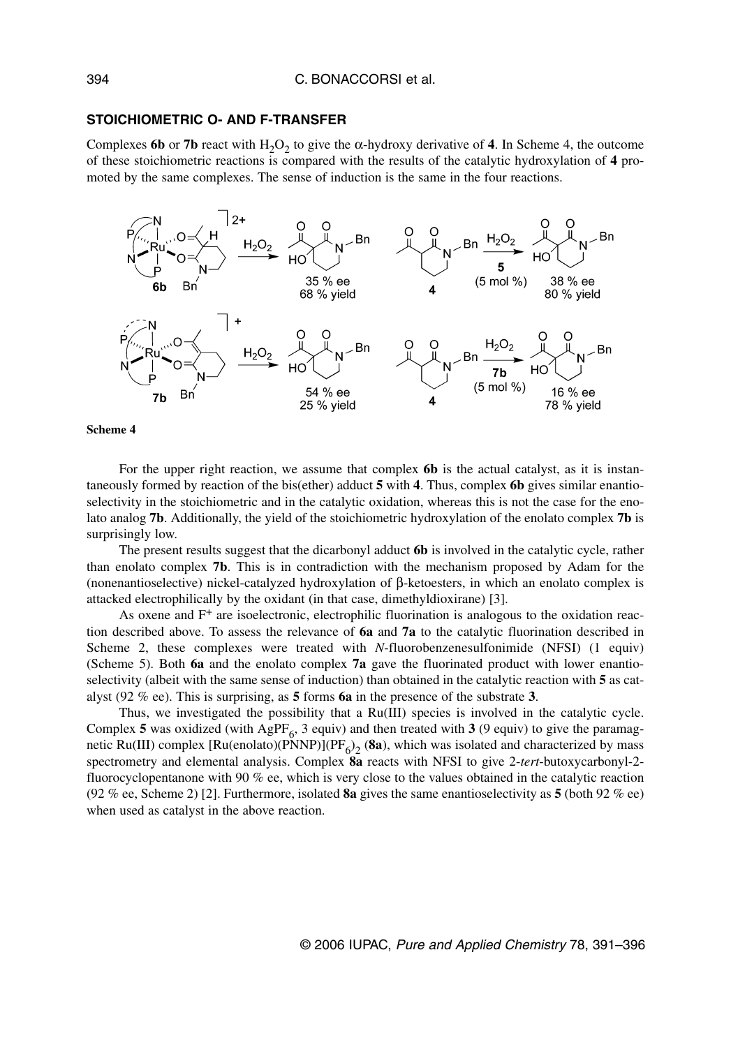#### **STOICHIOMETRIC O- AND F-TRANSFER**

Complexes **6b** or **7b** react with  $H_2O_2$  to give the  $\alpha$ -hydroxy derivative of 4. In Scheme 4, the outcome of these stoichiometric reactions is compared with the results of the catalytic hydroxylation of **4** promoted by the same complexes. The sense of induction is the same in the four reactions.



**Scheme 4**

For the upper right reaction, we assume that complex **6b** is the actual catalyst, as it is instantaneously formed by reaction of the bis(ether) adduct **5** with **4**. Thus, complex **6b** gives similar enantioselectivity in the stoichiometric and in the catalytic oxidation, whereas this is not the case for the enolato analog **7b**. Additionally, the yield of the stoichiometric hydroxylation of the enolato complex **7b** is surprisingly low.

The present results suggest that the dicarbonyl adduct **6b** is involved in the catalytic cycle, rather than enolato complex **7b**. This is in contradiction with the mechanism proposed by Adam for the (nonenantioselective) nickel-catalyzed hydroxylation of β-ketoesters, in which an enolato complex is attacked electrophilically by the oxidant (in that case, dimethyldioxirane) [3].

As oxene and  $F^+$  are isoelectronic, electrophilic fluorination is analogous to the oxidation reaction described above. To assess the relevance of **6a** and **7a** to the catalytic fluorination described in Scheme 2, these complexes were treated with *N*-fluorobenzenesulfonimide (NFSI) (1 equiv) (Scheme 5). Both **6a** and the enolato complex **7a** gave the fluorinated product with lower enantioselectivity (albeit with the same sense of induction) than obtained in the catalytic reaction with **5** as catalyst (92 % ee). This is surprising, as **5** forms **6a** in the presence of the substrate **3**.

Thus, we investigated the possibility that a Ru(III) species is involved in the catalytic cycle. Complex 5 was oxidized (with AgPF<sub>6</sub>, 3 equiv) and then treated with 3 (9 equiv) to give the paramagnetic Ru(III) complex  $[Ru(enolato)(PNNP)](PF_6)_2$  (8a), which was isolated and characterized by mass spectrometry and elemental analysis. Complex **8a** reacts with NFSI to give 2-*tert*-butoxycarbonyl-2 fluorocyclopentanone with 90 % ee, which is very close to the values obtained in the catalytic reaction (92 % ee, Scheme 2) [2]. Furthermore, isolated **8a** gives the same enantioselectivity as **5** (both 92 % ee) when used as catalyst in the above reaction.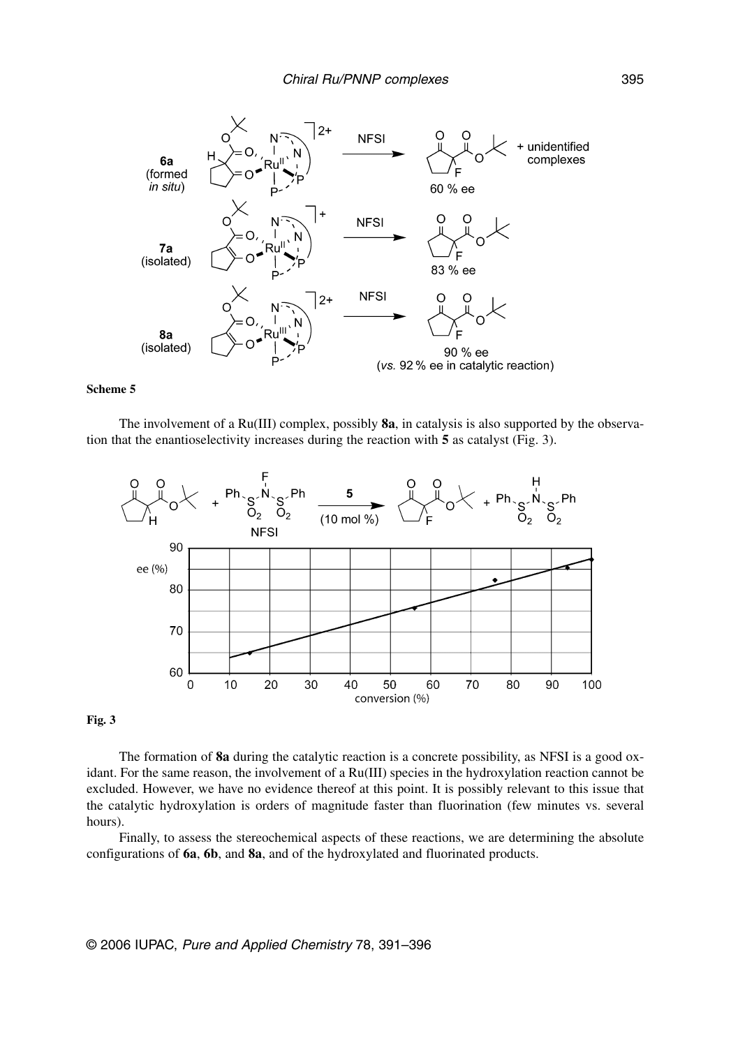

#### **Scheme 5**

The involvement of a Ru(III) complex, possibly **8a**, in catalysis is also supported by the observation that the enantioselectivity increases during the reaction with **5** as catalyst (Fig. 3).



#### **Fig. 3**

The formation of **8a** during the catalytic reaction is a concrete possibility, as NFSI is a good oxidant. For the same reason, the involvement of a Ru(III) species in the hydroxylation reaction cannot be excluded. However, we have no evidence thereof at this point. It is possibly relevant to this issue that the catalytic hydroxylation is orders of magnitude faster than fluorination (few minutes vs. several hours).

Finally, to assess the stereochemical aspects of these reactions, we are determining the absolute configurations of **6a**, **6b**, and **8a**, and of the hydroxylated and fluorinated products.

© 2006 IUPAC, Pure and Applied Chemistry 78, 391–396